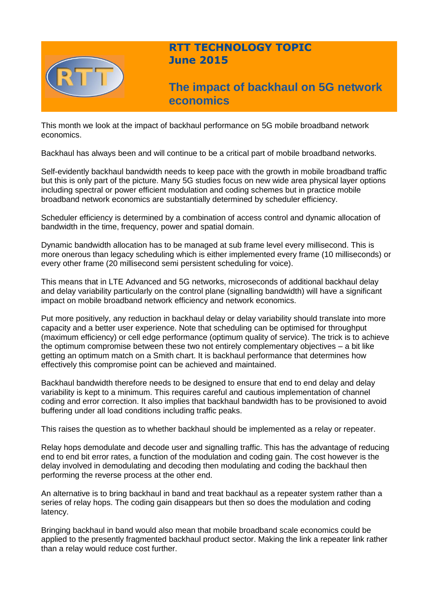

# **RTT TECHNOLOGY TOPIC June 2015**

**The impact of backhaul on 5G network economics**

This month we look at the impact of backhaul performance on 5G mobile broadband network economics.

Backhaul has always been and will continue to be a critical part of mobile broadband networks.

Self-evidently backhaul bandwidth needs to keep pace with the growth in mobile broadband traffic but this is only part of the picture. Many 5G studies focus on new wide area physical layer options including spectral or power efficient modulation and coding schemes but in practice mobile broadband network economics are substantially determined by scheduler efficiency.

Scheduler efficiency is determined by a combination of access control and dynamic allocation of bandwidth in the time, frequency, power and spatial domain.

Dynamic bandwidth allocation has to be managed at sub frame level every millisecond. This is more onerous than legacy scheduling which is either implemented every frame (10 milliseconds) or every other frame (20 millisecond semi persistent scheduling for voice).

This means that in LTE Advanced and 5G networks, microseconds of additional backhaul delay and delay variability particularly on the control plane (signalling bandwidth) will have a significant impact on mobile broadband network efficiency and network economics.

Put more positively, any reduction in backhaul delay or delay variability should translate into more capacity and a better user experience. Note that scheduling can be optimised for throughput (maximum efficiency) or cell edge performance (optimum quality of service). The trick is to achieve the optimum compromise between these two not entirely complementary objectives – a bit like getting an optimum match on a Smith chart. It is backhaul performance that determines how effectively this compromise point can be achieved and maintained.

Backhaul bandwidth therefore needs to be designed to ensure that end to end delay and delay variability is kept to a minimum. This requires careful and cautious implementation of channel coding and error correction. It also implies that backhaul bandwidth has to be provisioned to avoid buffering under all load conditions including traffic peaks.

This raises the question as to whether backhaul should be implemented as a relay or repeater.

Relay hops demodulate and decode user and signalling traffic. This has the advantage of reducing end to end bit error rates, a function of the modulation and coding gain. The cost however is the delay involved in demodulating and decoding then modulating and coding the backhaul then performing the reverse process at the other end.

An alternative is to bring backhaul in band and treat backhaul as a repeater system rather than a series of relay hops. The coding gain disappears but then so does the modulation and coding latency.

Bringing backhaul in band would also mean that mobile broadband scale economics could be applied to the presently fragmented backhaul product sector. Making the link a repeater link rather than a relay would reduce cost further.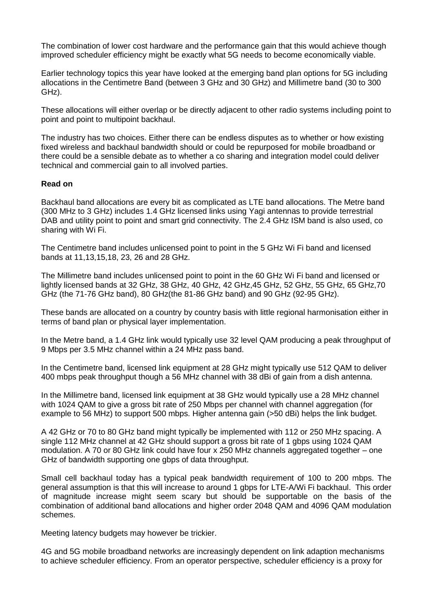The combination of lower cost hardware and the performance gain that this would achieve though improved scheduler efficiency might be exactly what 5G needs to become economically viable.

Earlier technology topics this year have looked at the emerging band plan options for 5G including allocations in the Centimetre Band (between 3 GHz and 30 GHz) and Millimetre band (30 to 300 GHz).

These allocations will either overlap or be directly adjacent to other radio systems including point to point and point to multipoint backhaul.

The industry has two choices. Either there can be endless disputes as to whether or how existing fixed wireless and backhaul bandwidth should or could be repurposed for mobile broadband or there could be a sensible debate as to whether a co sharing and integration model could deliver technical and commercial gain to all involved parties.

### **Read on**

Backhaul band allocations are every bit as complicated as LTE band allocations. The Metre band (300 MHz to 3 GHz) includes 1.4 GHz licensed links using Yagi antennas to provide terrestrial DAB and utility point to point and smart grid connectivity. The 2.4 GHz ISM band is also used, co sharing with Wi Fi.

The Centimetre band includes unlicensed point to point in the 5 GHz Wi Fi band and licensed bands at 11,13,15,18, 23, 26 and 28 GHz.

The Millimetre band includes unlicensed point to point in the 60 GHz Wi Fi band and licensed or lightly licensed bands at 32 GHz, 38 GHz, 40 GHz, 42 GHz,45 GHz, 52 GHz, 55 GHz, 65 GHz,70 GHz (the 71-76 GHz band), 80 GHz(the 81-86 GHz band) and 90 GHz (92-95 GHz).

These bands are allocated on a country by country basis with little regional harmonisation either in terms of band plan or physical layer implementation.

In the Metre band, a 1.4 GHz link would typically use 32 level QAM producing a peak throughput of 9 Mbps per 3.5 MHz channel within a 24 MHz pass band.

In the Centimetre band, licensed link equipment at 28 GHz might typically use 512 QAM to deliver 400 mbps peak throughput though a 56 MHz channel with 38 dBi of gain from a dish antenna.

In the Millimetre band, licensed link equipment at 38 GHz would typically use a 28 MHz channel with 1024 QAM to give a gross bit rate of 250 Mbps per channel with channel aggregation (for example to 56 MHz) to support 500 mbps. Higher antenna gain (>50 dBi) helps the link budget.

A 42 GHz or 70 to 80 GHz band might typically be implemented with 112 or 250 MHz spacing. A single 112 MHz channel at 42 GHz should support a gross bit rate of 1 gbps using 1024 QAM modulation. A 70 or 80 GHz link could have four x 250 MHz channels aggregated together – one GHz of bandwidth supporting one gbps of data throughput.

Small cell backhaul today has a typical peak bandwidth requirement of 100 to 200 mbps. The general assumption is that this will increase to around 1 gbps for LTE-A/Wi Fi backhaul. This order of magnitude increase might seem scary but should be supportable on the basis of the combination of additional band allocations and higher order 2048 QAM and 4096 QAM modulation schemes.

Meeting latency budgets may however be trickier.

4G and 5G mobile broadband networks are increasingly dependent on link adaption mechanisms to achieve scheduler efficiency. From an operator perspective, scheduler efficiency is a proxy for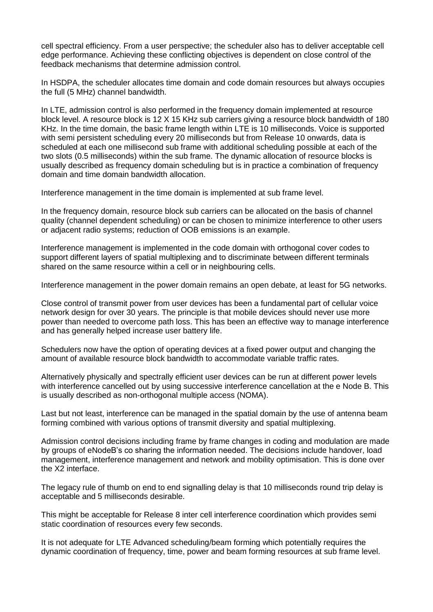cell spectral efficiency. From a user perspective; the scheduler also has to deliver acceptable cell edge performance. Achieving these conflicting objectives is dependent on close control of the feedback mechanisms that determine admission control.

In HSDPA, the scheduler allocates time domain and code domain resources but always occupies the full (5 MHz) channel bandwidth.

In LTE, admission control is also performed in the frequency domain implemented at resource block level. A resource block is 12 X 15 KHz sub carriers giving a resource block bandwidth of 180 KHz. In the time domain, the basic frame length within LTE is 10 milliseconds. Voice is supported with semi persistent scheduling every 20 milliseconds but from Release 10 onwards, data is scheduled at each one millisecond sub frame with additional scheduling possible at each of the two slots (0.5 milliseconds) within the sub frame. The dynamic allocation of resource blocks is usually described as frequency domain scheduling but is in practice a combination of frequency domain and time domain bandwidth allocation.

Interference management in the time domain is implemented at sub frame level.

In the frequency domain, resource block sub carriers can be allocated on the basis of channel quality (channel dependent scheduling) or can be chosen to minimize interference to other users or adjacent radio systems; reduction of OOB emissions is an example.

Interference management is implemented in the code domain with orthogonal cover codes to support different layers of spatial multiplexing and to discriminate between different terminals shared on the same resource within a cell or in neighbouring cells.

Interference management in the power domain remains an open debate, at least for 5G networks.

Close control of transmit power from user devices has been a fundamental part of cellular voice network design for over 30 years. The principle is that mobile devices should never use more power than needed to overcome path loss. This has been an effective way to manage interference and has generally helped increase user battery life.

Schedulers now have the option of operating devices at a fixed power output and changing the amount of available resource block bandwidth to accommodate variable traffic rates.

Alternatively physically and spectrally efficient user devices can be run at different power levels with interference cancelled out by using successive interference cancellation at the e Node B. This is usually described as non-orthogonal multiple access (NOMA).

Last but not least, interference can be managed in the spatial domain by the use of antenna beam forming combined with various options of transmit diversity and spatial multiplexing.

Admission control decisions including frame by frame changes in coding and modulation are made by groups of eNodeB's co sharing the information needed. The decisions include handover, load management, interference management and network and mobility optimisation. This is done over the X2 interface.

The legacy rule of thumb on end to end signalling delay is that 10 milliseconds round trip delay is acceptable and 5 milliseconds desirable.

This might be acceptable for Release 8 inter cell interference coordination which provides semi static coordination of resources every few seconds.

It is not adequate for LTE Advanced scheduling/beam forming which potentially requires the dynamic coordination of frequency, time, power and beam forming resources at sub frame level.